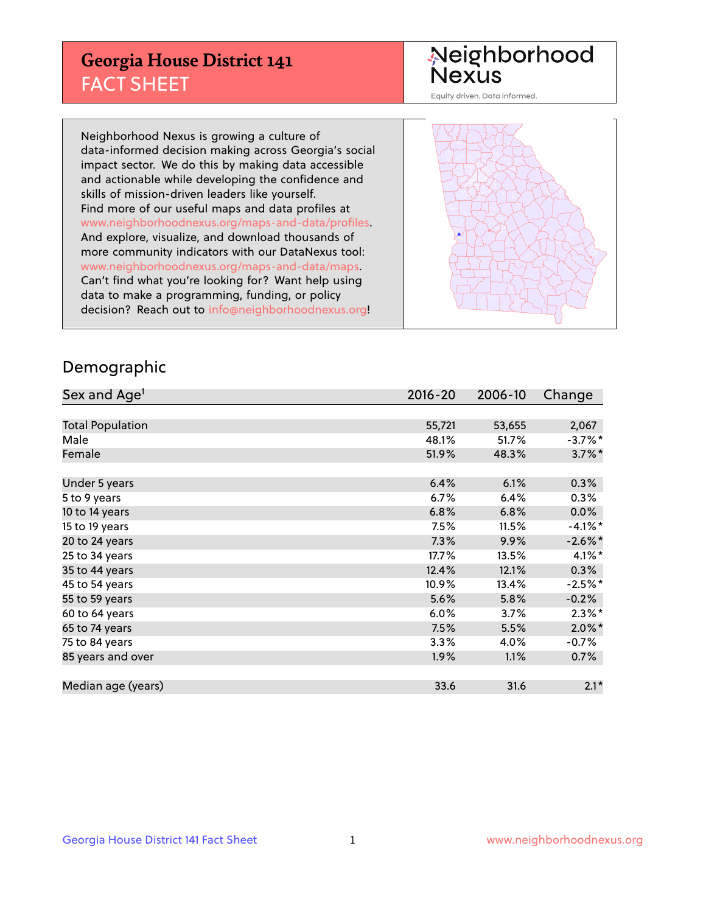## **Georgia House District 141** FACT SHEET

# Neighborhood<br>Nexus

Equity driven. Data informed.

Neighborhood Nexus is growing a culture of data-informed decision making across Georgia's social impact sector. We do this by making data accessible and actionable while developing the confidence and skills of mission-driven leaders like yourself. Find more of our useful maps and data profiles at www.neighborhoodnexus.org/maps-and-data/profiles. And explore, visualize, and download thousands of more community indicators with our DataNexus tool: www.neighborhoodnexus.org/maps-and-data/maps. Can't find what you're looking for? Want help using data to make a programming, funding, or policy decision? Reach out to [info@neighborhoodnexus.org!](mailto:info@neighborhoodnexus.org)



### Demographic

| Sex and Age <sup>1</sup> | $2016 - 20$ | 2006-10 | Change               |
|--------------------------|-------------|---------|----------------------|
|                          |             |         |                      |
| <b>Total Population</b>  | 55,721      | 53,655  | 2,067                |
| Male                     | 48.1%       | 51.7%   | $-3.7\%$ *           |
| Female                   | 51.9%       | 48.3%   | $3.7\%$ *            |
|                          |             |         |                      |
| Under 5 years            | 6.4%        | 6.1%    | 0.3%                 |
| 5 to 9 years             | $6.7\%$     | 6.4%    | $0.3\%$              |
| 10 to 14 years           | 6.8%        | 6.8%    | 0.0%                 |
| 15 to 19 years           | 7.5%        | 11.5%   | $-4.1%$ *            |
| 20 to 24 years           | 7.3%        | 9.9%    | $-2.6\%$ *           |
| 25 to 34 years           | 17.7%       | 13.5%   | $4.1\%$ *            |
| 35 to 44 years           | 12.4%       | 12.1%   | 0.3%                 |
| 45 to 54 years           | 10.9%       | 13.4%   | $-2.5%$ *            |
| 55 to 59 years           | 5.6%        | 5.8%    | $-0.2%$              |
| 60 to 64 years           | $6.0\%$     | 3.7%    | $2.3\%$ <sup>*</sup> |
| 65 to 74 years           | 7.5%        | 5.5%    | $2.0\%$ *            |
| 75 to 84 years           | 3.3%        | 4.0%    | $-0.7%$              |
| 85 years and over        | 1.9%        | 1.1%    | 0.7%                 |
|                          |             |         |                      |
| Median age (years)       | 33.6        | 31.6    | $2.1*$               |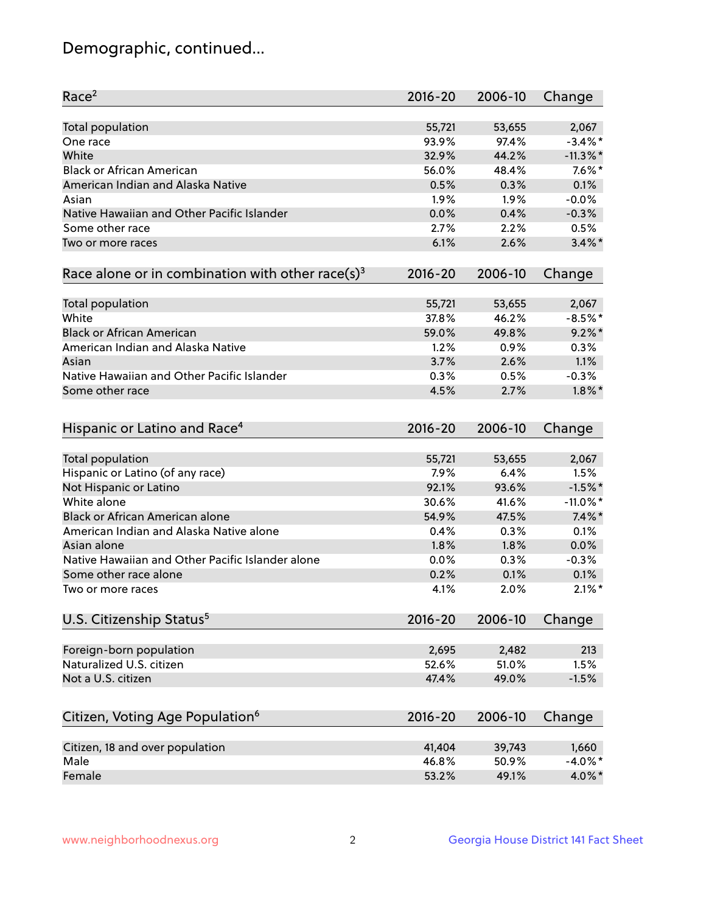## Demographic, continued...

| Race <sup>2</sup>                                            | $2016 - 20$  | 2006-10      | Change            |
|--------------------------------------------------------------|--------------|--------------|-------------------|
| <b>Total population</b>                                      | 55,721       | 53,655       | 2,067             |
| One race                                                     | 93.9%        | 97.4%        | $-3.4\%$ *        |
| White                                                        | 32.9%        | 44.2%        | $-11.3\%$ *       |
| <b>Black or African American</b>                             | 56.0%        | 48.4%        | $7.6\%$ *         |
| American Indian and Alaska Native                            | 0.5%         | 0.3%         | 0.1%              |
| Asian                                                        | 1.9%         | 1.9%         | $-0.0%$           |
| Native Hawaiian and Other Pacific Islander                   | 0.0%         | 0.4%         | $-0.3%$           |
| Some other race                                              | 2.7%         | 2.2%         | 0.5%              |
| Two or more races                                            | 6.1%         | 2.6%         | $3.4\%$ *         |
| Race alone or in combination with other race(s) <sup>3</sup> | $2016 - 20$  | 2006-10      | Change            |
| Total population                                             | 55,721       | 53,655       | 2,067             |
| White                                                        | 37.8%        | 46.2%        | $-8.5%$ *         |
| <b>Black or African American</b>                             | 59.0%        | 49.8%        | $9.2\%$ *         |
| American Indian and Alaska Native                            | 1.2%         | 0.9%         | 0.3%              |
| Asian                                                        | 3.7%         | 2.6%         | 1.1%              |
| Native Hawaiian and Other Pacific Islander                   |              |              | $-0.3%$           |
|                                                              | 0.3%         | 0.5%         |                   |
| Some other race                                              | 4.5%         | 2.7%         | $1.8\%$ *         |
| Hispanic or Latino and Race <sup>4</sup>                     | $2016 - 20$  | 2006-10      | Change            |
| Total population                                             | 55,721       | 53,655       | 2,067             |
| Hispanic or Latino (of any race)                             | 7.9%         | 6.4%         | 1.5%              |
| Not Hispanic or Latino                                       | 92.1%        | 93.6%        | $-1.5%$ *         |
| White alone                                                  | 30.6%        | 41.6%        | $-11.0\%$ *       |
| Black or African American alone                              | 54.9%        | 47.5%        | $7.4\%$ *         |
| American Indian and Alaska Native alone                      | 0.4%         | 0.3%         | 0.1%              |
| Asian alone                                                  | 1.8%         | 1.8%         | 0.0%              |
| Native Hawaiian and Other Pacific Islander alone             | 0.0%         | 0.3%         | $-0.3%$           |
|                                                              |              |              |                   |
| Some other race alone<br>Two or more races                   | 0.2%<br>4.1% | 0.1%<br>2.0% | 0.1%<br>$2.1\%$ * |
|                                                              |              |              |                   |
| U.S. Citizenship Status <sup>5</sup>                         | $2016 - 20$  | 2006-10      | Change            |
| Foreign-born population                                      | 2,695        | 2,482        | 213               |
| Naturalized U.S. citizen                                     | 52.6%        | 51.0%        | 1.5%              |
| Not a U.S. citizen                                           | 47.4%        | 49.0%        | $-1.5%$           |
| Citizen, Voting Age Population <sup>6</sup>                  | $2016 - 20$  | 2006-10      | Change            |
|                                                              |              |              |                   |
| Citizen, 18 and over population                              | 41,404       | 39,743       | 1,660             |
| Male                                                         | 46.8%        | 50.9%        | $-4.0\%$ *        |
| Female                                                       | 53.2%        | 49.1%        | 4.0%*             |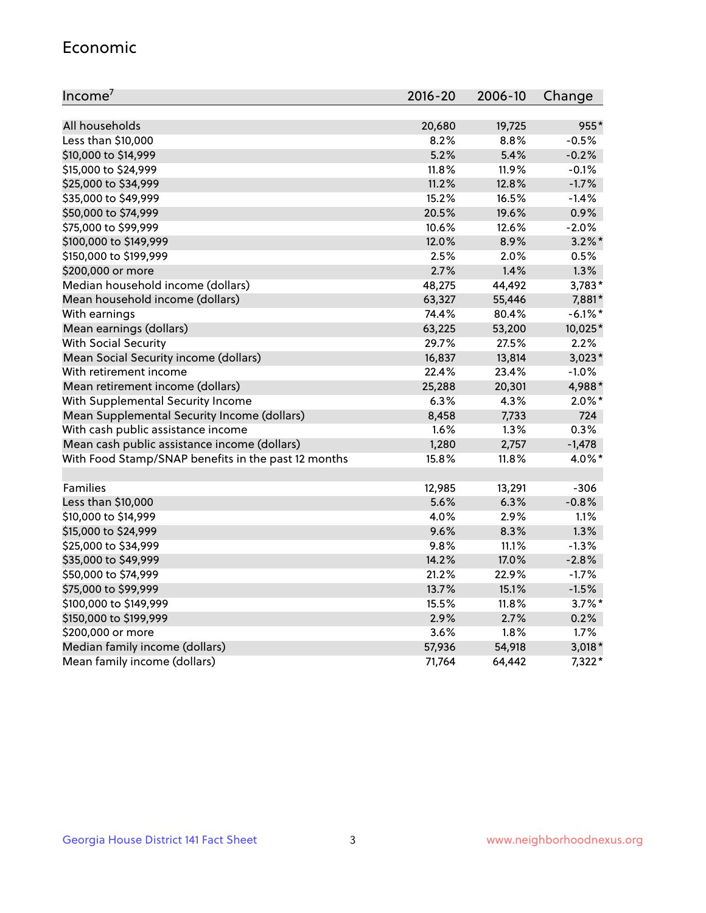#### Economic

| Income <sup>7</sup>                                 | $2016 - 20$ | 2006-10  | Change     |
|-----------------------------------------------------|-------------|----------|------------|
|                                                     |             |          |            |
| All households                                      | 20,680      | 19,725   | 955*       |
| Less than \$10,000                                  | 8.2%        | 8.8%     | $-0.5%$    |
| \$10,000 to \$14,999                                | 5.2%        | 5.4%     | $-0.2%$    |
| \$15,000 to \$24,999                                | 11.8%       | 11.9%    | $-0.1%$    |
| \$25,000 to \$34,999                                | 11.2%       | 12.8%    | $-1.7%$    |
| \$35,000 to \$49,999                                | 15.2%       | 16.5%    | $-1.4%$    |
| \$50,000 to \$74,999                                | 20.5%       | 19.6%    | 0.9%       |
| \$75,000 to \$99,999                                | 10.6%       | 12.6%    | $-2.0%$    |
| \$100,000 to \$149,999                              | 12.0%       | 8.9%     | $3.2\%$ *  |
| \$150,000 to \$199,999                              | 2.5%        | 2.0%     | 0.5%       |
| \$200,000 or more                                   | 2.7%        | 1.4%     | 1.3%       |
| Median household income (dollars)                   | 48,275      | 44,492   | 3,783*     |
| Mean household income (dollars)                     | 63,327      | 55,446   | 7,881*     |
| With earnings                                       | 74.4%       | 80.4%    | $-6.1\%$ * |
| Mean earnings (dollars)                             | 63,225      | 53,200   | 10,025*    |
| <b>With Social Security</b>                         | 29.7%       | 27.5%    | 2.2%       |
| Mean Social Security income (dollars)               | 16,837      | 13,814   | $3,023*$   |
| With retirement income                              | 22.4%       | 23.4%    | $-1.0%$    |
| Mean retirement income (dollars)                    | 25,288      | 20,301   | 4,988*     |
| With Supplemental Security Income                   | $6.3\%$     | 4.3%     | $2.0\%$ *  |
| Mean Supplemental Security Income (dollars)         | 8,458       | 7,733    | 724        |
| With cash public assistance income                  | 1.6%        | 1.3%     | 0.3%       |
| Mean cash public assistance income (dollars)        | 1,280       | 2,757    | $-1,478$   |
| With Food Stamp/SNAP benefits in the past 12 months | 15.8%       | 11.8%    | 4.0%*      |
|                                                     |             |          |            |
| Families                                            | 12,985      | 13,291   | $-306$     |
| Less than \$10,000                                  | 5.6%        | 6.3%     | $-0.8%$    |
| \$10,000 to \$14,999                                | 4.0%        | 2.9%     | 1.1%       |
| \$15,000 to \$24,999                                | 9.6%        | 8.3%     | 1.3%       |
| \$25,000 to \$34,999                                | 9.8%        | 11.1%    | $-1.3%$    |
| \$35,000 to \$49,999                                | 14.2%       | 17.0%    | $-2.8%$    |
| \$50,000 to \$74,999                                | 21.2%       | 22.9%    | $-1.7%$    |
| \$75,000 to \$99,999                                | 13.7%       | 15.1%    | $-1.5%$    |
| \$100,000 to \$149,999                              | 15.5%       | $11.8\%$ | $3.7\%$ *  |
| \$150,000 to \$199,999                              | 2.9%        | 2.7%     | 0.2%       |
| \$200,000 or more                                   | 3.6%        | 1.8%     | 1.7%       |
| Median family income (dollars)                      | 57,936      | 54,918   | $3,018*$   |
| Mean family income (dollars)                        | 71,764      | 64,442   | 7,322*     |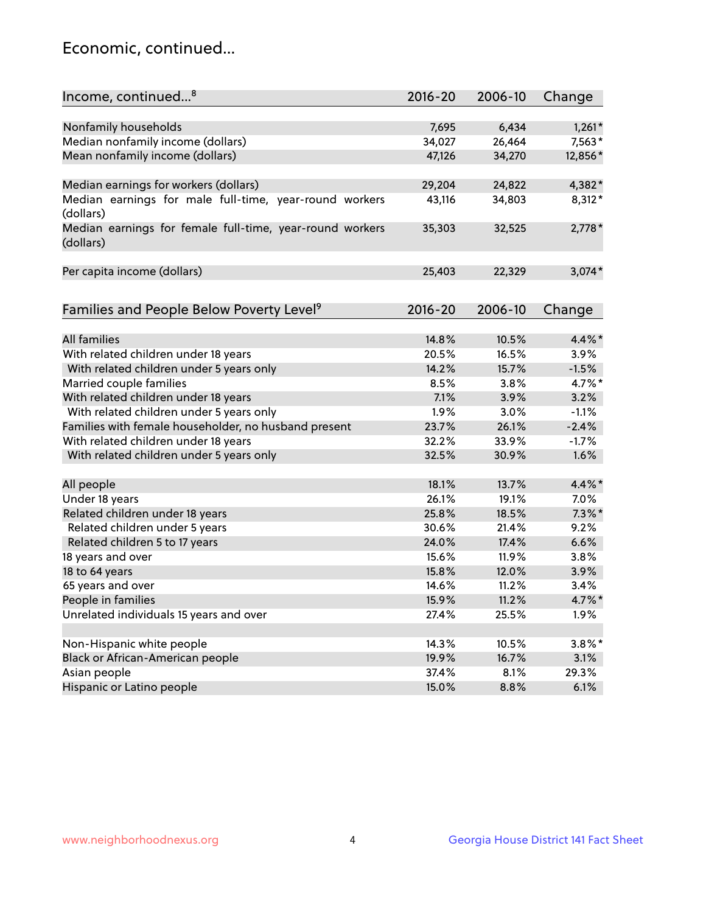## Economic, continued...

| Income, continued <sup>8</sup>                                        | $2016 - 20$ | 2006-10 | Change    |
|-----------------------------------------------------------------------|-------------|---------|-----------|
|                                                                       |             |         |           |
| Nonfamily households                                                  | 7,695       | 6,434   | $1,261*$  |
| Median nonfamily income (dollars)                                     | 34,027      | 26,464  | 7,563*    |
| Mean nonfamily income (dollars)                                       | 47,126      | 34,270  | 12,856*   |
| Median earnings for workers (dollars)                                 | 29,204      | 24,822  | 4,382*    |
| Median earnings for male full-time, year-round workers                | 43,116      | 34,803  | 8,312*    |
| (dollars)                                                             |             |         |           |
| Median earnings for female full-time, year-round workers<br>(dollars) | 35,303      | 32,525  | $2,778*$  |
| Per capita income (dollars)                                           | 25,403      | 22,329  | $3,074*$  |
|                                                                       |             |         |           |
| Families and People Below Poverty Level <sup>9</sup>                  | $2016 - 20$ | 2006-10 | Change    |
| <b>All families</b>                                                   | 14.8%       | 10.5%   | 4.4%*     |
|                                                                       |             | 16.5%   | 3.9%      |
| With related children under 18 years                                  | 20.5%       | 15.7%   |           |
| With related children under 5 years only                              | 14.2%       |         | $-1.5%$   |
| Married couple families                                               | 8.5%        | 3.8%    | 4.7%*     |
| With related children under 18 years                                  | 7.1%        | 3.9%    | 3.2%      |
| With related children under 5 years only                              | 1.9%        | 3.0%    | $-1.1%$   |
| Families with female householder, no husband present                  | 23.7%       | 26.1%   | $-2.4%$   |
| With related children under 18 years                                  | 32.2%       | 33.9%   | $-1.7%$   |
| With related children under 5 years only                              | 32.5%       | 30.9%   | 1.6%      |
| All people                                                            | 18.1%       | 13.7%   | 4.4%*     |
| Under 18 years                                                        | 26.1%       | 19.1%   | 7.0%      |
| Related children under 18 years                                       | 25.8%       | 18.5%   | $7.3\%$ * |
| Related children under 5 years                                        | 30.6%       | 21.4%   | 9.2%      |
| Related children 5 to 17 years                                        | 24.0%       | 17.4%   | 6.6%      |
| 18 years and over                                                     | 15.6%       | 11.9%   | 3.8%      |
| 18 to 64 years                                                        | 15.8%       | 12.0%   | 3.9%      |
| 65 years and over                                                     | 14.6%       | 11.2%   | 3.4%      |
| People in families                                                    | 15.9%       | 11.2%   | 4.7%*     |
| Unrelated individuals 15 years and over                               | 27.4%       | 25.5%   | 1.9%      |
|                                                                       |             |         |           |
| Non-Hispanic white people                                             | 14.3%       | 10.5%   | $3.8\%$ * |
| Black or African-American people                                      | 19.9%       | 16.7%   | 3.1%      |
| Asian people                                                          | 37.4%       | 8.1%    | 29.3%     |
| Hispanic or Latino people                                             | 15.0%       | 8.8%    | 6.1%      |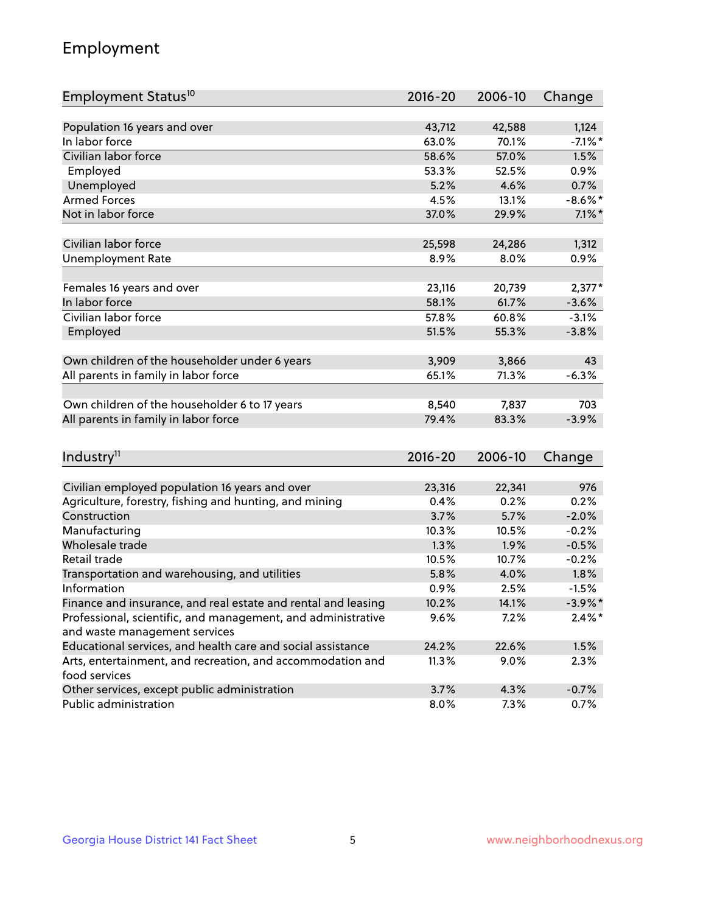## Employment

| Employment Status <sup>10</sup>                                             | $2016 - 20$ | 2006-10 | Change     |
|-----------------------------------------------------------------------------|-------------|---------|------------|
|                                                                             |             |         |            |
| Population 16 years and over                                                | 43,712      | 42,588  | 1,124      |
| In labor force                                                              | 63.0%       | 70.1%   | $-7.1\%$ * |
| Civilian labor force                                                        | 58.6%       | 57.0%   | 1.5%       |
| Employed                                                                    | 53.3%       | 52.5%   | 0.9%       |
| Unemployed                                                                  | 5.2%        | 4.6%    | 0.7%       |
| <b>Armed Forces</b>                                                         | 4.5%        | 13.1%   | $-8.6\%$ * |
| Not in labor force                                                          | 37.0%       | 29.9%   | $7.1\%$ *  |
|                                                                             |             |         |            |
| Civilian labor force                                                        | 25,598      | 24,286  | 1,312      |
| <b>Unemployment Rate</b>                                                    | 8.9%        | 8.0%    | 0.9%       |
| Females 16 years and over                                                   | 23,116      | 20,739  | $2,377*$   |
| In labor force                                                              | 58.1%       | 61.7%   | $-3.6%$    |
| Civilian labor force                                                        | 57.8%       | 60.8%   | $-3.1%$    |
| Employed                                                                    | 51.5%       | 55.3%   | $-3.8%$    |
|                                                                             |             |         |            |
| Own children of the householder under 6 years                               | 3,909       | 3,866   | 43         |
| All parents in family in labor force                                        | 65.1%       | 71.3%   | $-6.3%$    |
|                                                                             |             |         |            |
| Own children of the householder 6 to 17 years                               | 8,540       | 7,837   | 703        |
| All parents in family in labor force                                        | 79.4%       | 83.3%   | $-3.9%$    |
|                                                                             |             |         |            |
| Industry <sup>11</sup>                                                      | $2016 - 20$ | 2006-10 | Change     |
|                                                                             |             |         |            |
| Civilian employed population 16 years and over                              | 23,316      | 22,341  | 976        |
| Agriculture, forestry, fishing and hunting, and mining                      | 0.4%        | 0.2%    | 0.2%       |
| Construction                                                                | 3.7%        | 5.7%    | $-2.0%$    |
| Manufacturing                                                               | 10.3%       | 10.5%   | $-0.2%$    |
| Wholesale trade                                                             | 1.3%        | 1.9%    | $-0.5%$    |
| Retail trade                                                                | 10.5%       | 10.7%   | $-0.2%$    |
| Transportation and warehousing, and utilities                               | 5.8%        | 4.0%    | 1.8%       |
| Information                                                                 | 0.9%        | 2.5%    | $-1.5%$    |
| Finance and insurance, and real estate and rental and leasing               | 10.2%       | 14.1%   | $-3.9\%$ * |
| Professional, scientific, and management, and administrative                | 9.6%        | 7.2%    | $2.4\%$ *  |
| and waste management services                                               |             |         |            |
| Educational services, and health care and social assistance                 | 24.2%       | 22.6%   | 1.5%       |
| Arts, entertainment, and recreation, and accommodation and<br>food services | 11.3%       | 9.0%    | 2.3%       |
| Other services, except public administration                                | 3.7%        | 4.3%    | $-0.7%$    |
| Public administration                                                       | 8.0%        | 7.3%    | 0.7%       |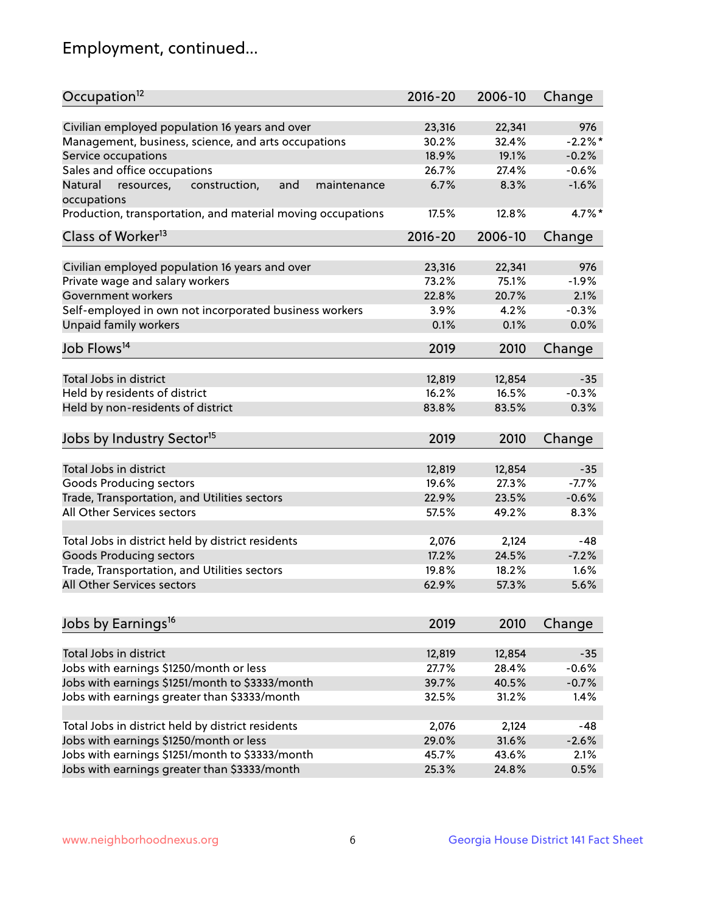## Employment, continued...

| Occupation <sup>12</sup>                                                    | $2016 - 20$    | 2006-10 | Change         |
|-----------------------------------------------------------------------------|----------------|---------|----------------|
| Civilian employed population 16 years and over                              |                |         |                |
|                                                                             | 23,316         | 22,341  | 976<br>$-2.2%$ |
| Management, business, science, and arts occupations                         | 30.2%<br>18.9% | 32.4%   |                |
| Service occupations                                                         |                | 19.1%   | $-0.2%$        |
| Sales and office occupations                                                | 26.7%          | 27.4%   | $-0.6%$        |
| Natural<br>and<br>resources,<br>construction,<br>maintenance<br>occupations | 6.7%           | 8.3%    | $-1.6%$        |
| Production, transportation, and material moving occupations                 | 17.5%          | 12.8%   | $4.7\%$ *      |
| Class of Worker <sup>13</sup>                                               | 2016-20        | 2006-10 | Change         |
|                                                                             |                |         |                |
| Civilian employed population 16 years and over                              | 23,316         | 22,341  | 976            |
| Private wage and salary workers                                             | 73.2%          | 75.1%   | $-1.9%$        |
| Government workers                                                          | 22.8%          | 20.7%   | 2.1%           |
| Self-employed in own not incorporated business workers                      | 3.9%           | 4.2%    | $-0.3%$        |
| Unpaid family workers                                                       | 0.1%           | 0.1%    | 0.0%           |
| Job Flows <sup>14</sup>                                                     | 2019           | 2010    | Change         |
|                                                                             |                |         |                |
| Total Jobs in district                                                      | 12,819         | 12,854  | $-35$          |
| Held by residents of district                                               | 16.2%          | 16.5%   | $-0.3%$        |
| Held by non-residents of district                                           | 83.8%          | 83.5%   | 0.3%           |
|                                                                             |                |         |                |
| Jobs by Industry Sector <sup>15</sup>                                       | 2019           | 2010    | Change         |
| Total Jobs in district                                                      | 12,819         | 12,854  | $-35$          |
| Goods Producing sectors                                                     | 19.6%          | 27.3%   | $-7.7%$        |
| Trade, Transportation, and Utilities sectors                                | 22.9%          | 23.5%   | $-0.6%$        |
| All Other Services sectors                                                  | 57.5%          | 49.2%   | 8.3%           |
|                                                                             |                |         |                |
| Total Jobs in district held by district residents                           | 2,076          | 2,124   | $-48$          |
| <b>Goods Producing sectors</b>                                              | 17.2%          | 24.5%   | $-7.2%$        |
| Trade, Transportation, and Utilities sectors                                | 19.8%          | 18.2%   | 1.6%           |
| All Other Services sectors                                                  | 62.9%          | 57.3%   | 5.6%           |
|                                                                             |                |         |                |
| Jobs by Earnings <sup>16</sup>                                              | 2019           | 2010    | Change         |
|                                                                             |                |         |                |
| Total Jobs in district                                                      | 12,819         | 12,854  | $-35$          |
| Jobs with earnings \$1250/month or less                                     | 27.7%          | 28.4%   | $-0.6%$        |
| Jobs with earnings \$1251/month to \$3333/month                             | 39.7%          | 40.5%   | $-0.7%$        |
| Jobs with earnings greater than \$3333/month                                | 32.5%          | 31.2%   | 1.4%           |
|                                                                             |                |         |                |
| Total Jobs in district held by district residents                           | 2,076          | 2,124   | $-48$          |
| Jobs with earnings \$1250/month or less                                     | 29.0%          | 31.6%   | $-2.6%$        |
| Jobs with earnings \$1251/month to \$3333/month                             | 45.7%          | 43.6%   | 2.1%           |
| Jobs with earnings greater than \$3333/month                                | 25.3%          | 24.8%   | 0.5%           |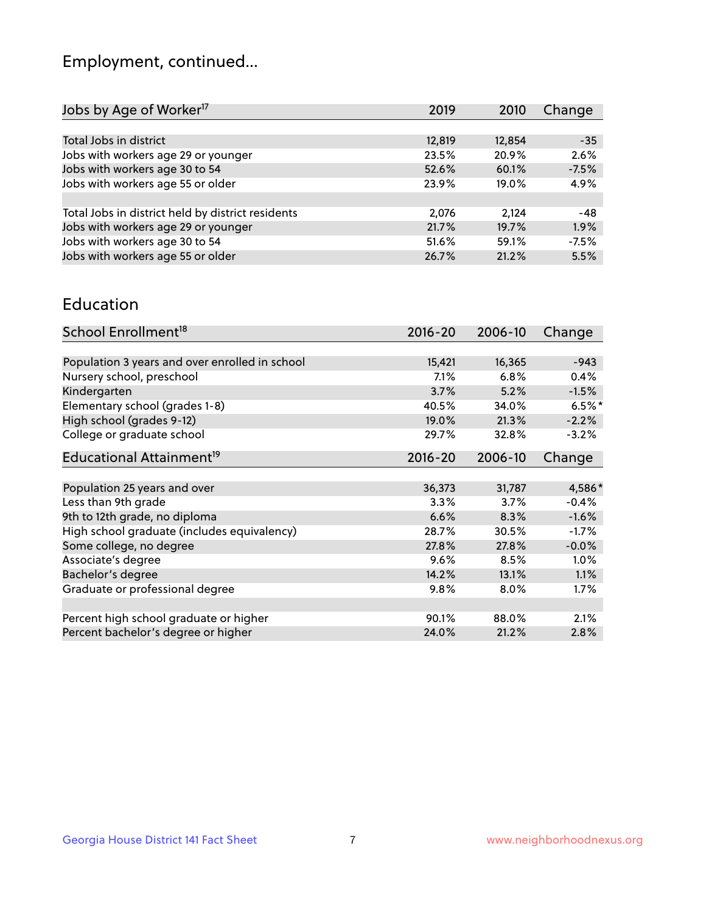## Employment, continued...

| Jobs by Age of Worker <sup>17</sup>               | 2019   | 2010   | Change  |
|---------------------------------------------------|--------|--------|---------|
|                                                   |        |        |         |
| Total Jobs in district                            | 12,819 | 12,854 | $-35$   |
| Jobs with workers age 29 or younger               | 23.5%  | 20.9%  | 2.6%    |
| Jobs with workers age 30 to 54                    | 52.6%  | 60.1%  | $-7.5%$ |
| Jobs with workers age 55 or older                 | 23.9%  | 19.0%  | 4.9%    |
|                                                   |        |        |         |
| Total Jobs in district held by district residents | 2,076  | 2,124  | -48     |
| Jobs with workers age 29 or younger               | 21.7%  | 19.7%  | 1.9%    |
| Jobs with workers age 30 to 54                    | 51.6%  | 59.1%  | $-7.5%$ |
| Jobs with workers age 55 or older                 | 26.7%  | 21.2%  | 5.5%    |
|                                                   |        |        |         |

#### Education

| School Enrollment <sup>18</sup>                | $2016 - 20$ | 2006-10 | Change   |
|------------------------------------------------|-------------|---------|----------|
|                                                |             |         |          |
| Population 3 years and over enrolled in school | 15,421      | 16,365  | $-943$   |
| Nursery school, preschool                      | 7.1%        | 6.8%    | 0.4%     |
| Kindergarten                                   | 3.7%        | 5.2%    | $-1.5%$  |
| Elementary school (grades 1-8)                 | 40.5%       | 34.0%   | $6.5%$ * |
| High school (grades 9-12)                      | 19.0%       | 21.3%   | $-2.2%$  |
| College or graduate school                     | 29.7%       | 32.8%   | $-3.2%$  |
| Educational Attainment <sup>19</sup>           | $2016 - 20$ | 2006-10 | Change   |
|                                                |             |         |          |
| Population 25 years and over                   | 36,373      | 31,787  | 4,586*   |
| Less than 9th grade                            | 3.3%        | 3.7%    | $-0.4%$  |
| 9th to 12th grade, no diploma                  | 6.6%        | 8.3%    | $-1.6%$  |
| High school graduate (includes equivalency)    | 28.7%       | 30.5%   | $-1.7%$  |
| Some college, no degree                        | 27.8%       | 27.8%   | $-0.0%$  |
| Associate's degree                             | 9.6%        | 8.5%    | 1.0%     |
| Bachelor's degree                              | 14.2%       | 13.1%   | 1.1%     |
| Graduate or professional degree                | 9.8%        | 8.0%    | $1.7\%$  |
|                                                |             |         |          |
| Percent high school graduate or higher         | 90.1%       | 88.0%   | 2.1%     |
| Percent bachelor's degree or higher            | 24.0%       | 21.2%   | 2.8%     |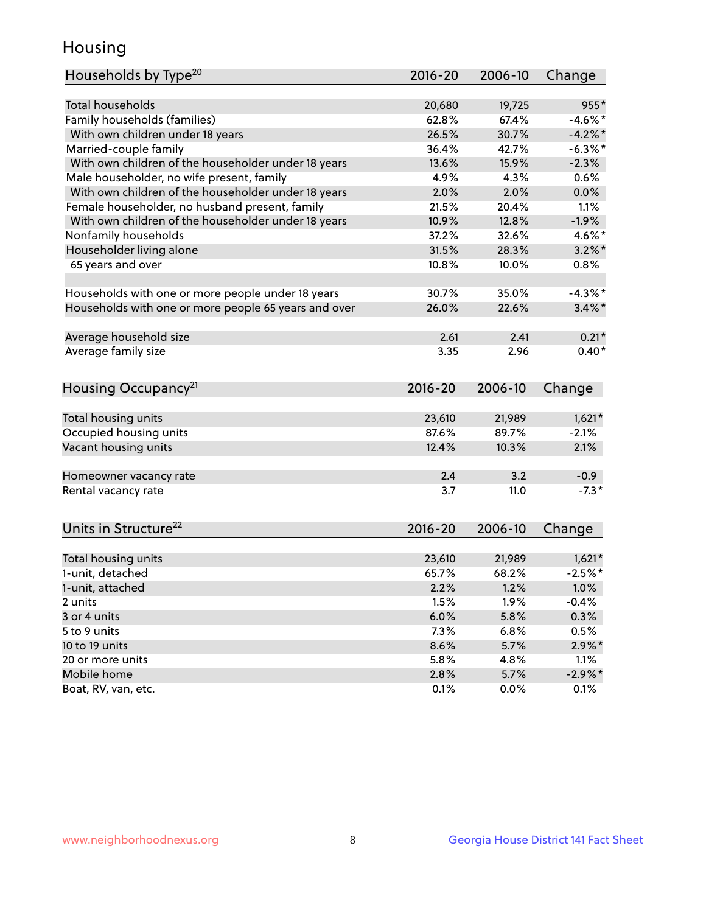## Housing

| Households by Type <sup>20</sup>                     | 2016-20     | 2006-10 | Change     |
|------------------------------------------------------|-------------|---------|------------|
|                                                      |             |         |            |
| <b>Total households</b>                              | 20,680      | 19,725  | 955*       |
| Family households (families)                         | 62.8%       | 67.4%   | $-4.6\%$ * |
| With own children under 18 years                     | 26.5%       | 30.7%   | $-4.2%$    |
| Married-couple family                                | 36.4%       | 42.7%   | $-6.3\%$ * |
| With own children of the householder under 18 years  | 13.6%       | 15.9%   | $-2.3%$    |
| Male householder, no wife present, family            | 4.9%        | 4.3%    | 0.6%       |
| With own children of the householder under 18 years  | 2.0%        | 2.0%    | 0.0%       |
| Female householder, no husband present, family       | 21.5%       | 20.4%   | 1.1%       |
| With own children of the householder under 18 years  | 10.9%       | 12.8%   | $-1.9%$    |
| Nonfamily households                                 | 37.2%       | 32.6%   | 4.6%*      |
| Householder living alone                             | 31.5%       | 28.3%   | $3.2\%$ *  |
| 65 years and over                                    | 10.8%       | 10.0%   | 0.8%       |
|                                                      |             |         |            |
| Households with one or more people under 18 years    | 30.7%       | 35.0%   | $-4.3\%$ * |
| Households with one or more people 65 years and over | 26.0%       | 22.6%   | $3.4\%$ *  |
|                                                      |             |         |            |
| Average household size                               | 2.61        | 2.41    | $0.21*$    |
| Average family size                                  | 3.35        | 2.96    | $0.40*$    |
|                                                      |             |         |            |
| Housing Occupancy <sup>21</sup>                      | $2016 - 20$ | 2006-10 | Change     |
|                                                      |             |         |            |
| Total housing units                                  | 23,610      | 21,989  | $1,621*$   |
| Occupied housing units                               | 87.6%       | 89.7%   | $-2.1%$    |
| Vacant housing units                                 | 12.4%       | 10.3%   | 2.1%       |
| Homeowner vacancy rate                               | 2.4         | 3.2     | $-0.9$     |
| Rental vacancy rate                                  | 3.7         | 11.0    | $-7.3*$    |
|                                                      |             |         |            |
| Units in Structure <sup>22</sup>                     | $2016 - 20$ | 2006-10 | Change     |
|                                                      |             |         |            |
| Total housing units                                  | 23,610      | 21,989  | $1,621*$   |
| 1-unit, detached                                     | 65.7%       | 68.2%   | $-2.5%$ *  |
| 1-unit, attached                                     | 2.2%        | 1.2%    | 1.0%       |
| 2 units                                              | 1.5%        | 1.9%    | $-0.4%$    |
| 3 or 4 units                                         | 6.0%        | 5.8%    | 0.3%       |
| 5 to 9 units                                         | 7.3%        | 6.8%    | 0.5%       |
| 10 to 19 units                                       | 8.6%        | 5.7%    | $2.9\%$ *  |
| 20 or more units                                     | 5.8%        | 4.8%    | 1.1%       |
| Mobile home                                          | 2.8%        | 5.7%    | $-2.9\%$ * |
|                                                      |             |         |            |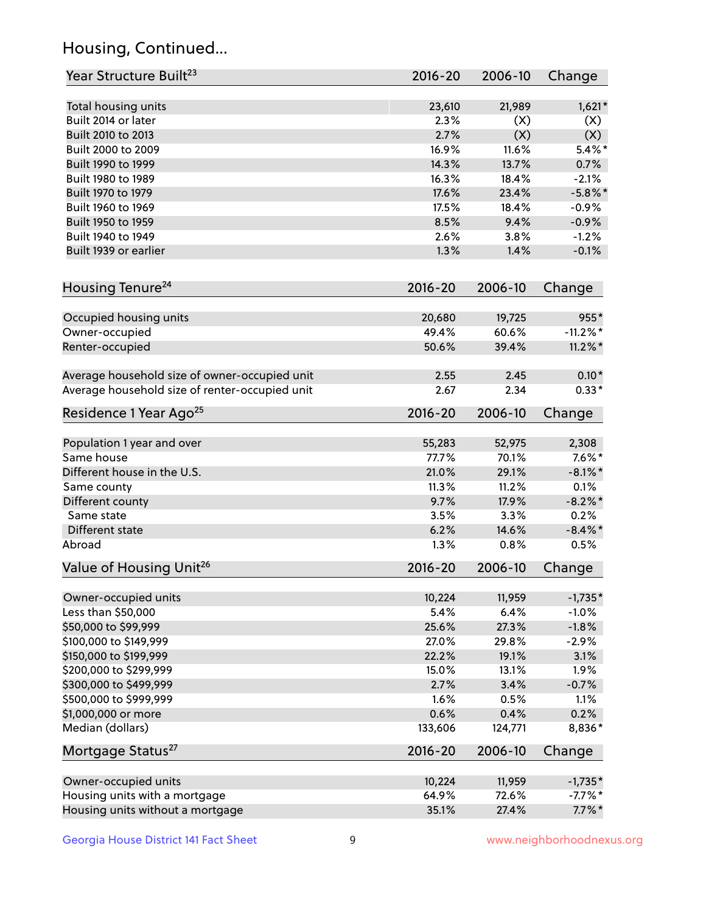## Housing, Continued...

| Year Structure Built <sup>23</sup>             | 2016-20     | 2006-10 | Change      |
|------------------------------------------------|-------------|---------|-------------|
| Total housing units                            | 23,610      | 21,989  | $1,621*$    |
| Built 2014 or later                            | 2.3%        | (X)     | (X)         |
| Built 2010 to 2013                             | 2.7%        | (X)     | (X)         |
| Built 2000 to 2009                             | 16.9%       | 11.6%   | $5.4\%$ *   |
| Built 1990 to 1999                             | 14.3%       | 13.7%   | 0.7%        |
| Built 1980 to 1989                             | 16.3%       | 18.4%   | $-2.1%$     |
| Built 1970 to 1979                             | 17.6%       | 23.4%   | $-5.8\%$ *  |
| Built 1960 to 1969                             | 17.5%       | 18.4%   | $-0.9%$     |
| Built 1950 to 1959                             | 8.5%        | 9.4%    | $-0.9%$     |
| Built 1940 to 1949                             | 2.6%        | 3.8%    | $-1.2%$     |
| Built 1939 or earlier                          | 1.3%        | 1.4%    | $-0.1%$     |
| Housing Tenure <sup>24</sup>                   | $2016 - 20$ | 2006-10 | Change      |
| Occupied housing units                         | 20,680      | 19,725  | 955*        |
| Owner-occupied                                 | 49.4%       | 60.6%   | $-11.2\%$ * |
| Renter-occupied                                | 50.6%       | 39.4%   | $11.2\%$ *  |
| Average household size of owner-occupied unit  | 2.55        | 2.45    | $0.10*$     |
| Average household size of renter-occupied unit | 2.67        | 2.34    | $0.33*$     |
| Residence 1 Year Ago <sup>25</sup>             | $2016 - 20$ | 2006-10 | Change      |
| Population 1 year and over                     | 55,283      | 52,975  | 2,308       |
| Same house                                     | 77.7%       | 70.1%   | $7.6\%$ *   |
| Different house in the U.S.                    | 21.0%       | 29.1%   | $-8.1\%$ *  |
| Same county                                    | 11.3%       | 11.2%   | 0.1%        |
| Different county                               | 9.7%        | 17.9%   | $-8.2\%$ *  |
| Same state                                     | 3.5%        | 3.3%    | 0.2%        |
| Different state                                | 6.2%        | 14.6%   | $-8.4\%$ *  |
| Abroad                                         | 1.3%        | 0.8%    | 0.5%        |
| Value of Housing Unit <sup>26</sup>            | $2016 - 20$ | 2006-10 | Change      |
| Owner-occupied units                           | 10,224      | 11,959  | $-1,735*$   |
| Less than \$50,000                             | 5.4%        | 6.4%    | $-1.0%$     |
| \$50,000 to \$99,999                           | 25.6%       | 27.3%   | $-1.8%$     |
| \$100,000 to \$149,999                         | 27.0%       | 29.8%   | $-2.9%$     |
| \$150,000 to \$199,999                         | 22.2%       | 19.1%   | 3.1%        |
| \$200,000 to \$299,999                         | 15.0%       | 13.1%   | 1.9%        |
| \$300,000 to \$499,999                         | 2.7%        | 3.4%    | $-0.7%$     |
| \$500,000 to \$999,999                         | 1.6%        | 0.5%    | 1.1%        |
| \$1,000,000 or more                            | 0.6%        | 0.4%    | 0.2%        |
| Median (dollars)                               | 133,606     | 124,771 | 8,836*      |
| Mortgage Status <sup>27</sup>                  | $2016 - 20$ | 2006-10 | Change      |
| Owner-occupied units                           | 10,224      | 11,959  | $-1,735*$   |
| Housing units with a mortgage                  | 64.9%       | 72.6%   | $-7.7%$ *   |
| Housing units without a mortgage               | 35.1%       | 27.4%   | $7.7\%$ *   |
|                                                |             |         |             |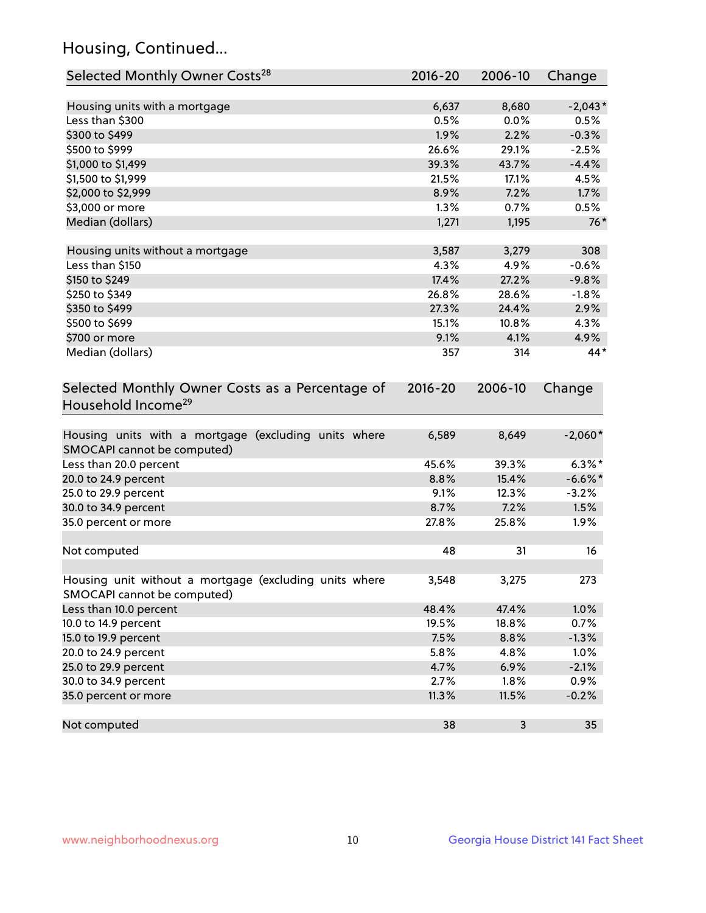## Housing, Continued...

| Selected Monthly Owner Costs <sup>28</sup>                                            | $2016 - 20$ | 2006-10 | Change     |
|---------------------------------------------------------------------------------------|-------------|---------|------------|
| Housing units with a mortgage                                                         | 6,637       | 8,680   | $-2,043*$  |
| Less than \$300                                                                       | 0.5%        | 0.0%    | 0.5%       |
| \$300 to \$499                                                                        | 1.9%        | 2.2%    | $-0.3%$    |
| \$500 to \$999                                                                        | 26.6%       | 29.1%   | $-2.5%$    |
| \$1,000 to \$1,499                                                                    | 39.3%       | 43.7%   | $-4.4%$    |
| \$1,500 to \$1,999                                                                    | 21.5%       | 17.1%   | 4.5%       |
| \$2,000 to \$2,999                                                                    | 8.9%        | 7.2%    | 1.7%       |
| \$3,000 or more                                                                       | 1.3%        | 0.7%    | 0.5%       |
| Median (dollars)                                                                      | 1,271       | 1,195   | $76*$      |
| Housing units without a mortgage                                                      | 3,587       | 3,279   | 308        |
| Less than \$150                                                                       | 4.3%        | 4.9%    | $-0.6%$    |
| \$150 to \$249                                                                        | 17.4%       | 27.2%   | $-9.8%$    |
| \$250 to \$349                                                                        | 26.8%       | 28.6%   | $-1.8%$    |
| \$350 to \$499                                                                        | 27.3%       | 24.4%   | 2.9%       |
| \$500 to \$699                                                                        | 15.1%       | 10.8%   | 4.3%       |
| \$700 or more                                                                         | 9.1%        | 4.1%    | 4.9%       |
| Median (dollars)                                                                      | 357         | 314     | 44*        |
| Household Income <sup>29</sup>                                                        |             |         |            |
| Housing units with a mortgage (excluding units where<br>SMOCAPI cannot be computed)   | 6,589       | 8,649   | $-2,060*$  |
| Less than 20.0 percent                                                                | 45.6%       | 39.3%   | $6.3\%*$   |
| 20.0 to 24.9 percent                                                                  | 8.8%        | 15.4%   | $-6.6\%$ * |
| 25.0 to 29.9 percent                                                                  | 9.1%        | 12.3%   | $-3.2%$    |
| 30.0 to 34.9 percent                                                                  | 8.7%        | 7.2%    | 1.5%       |
| 35.0 percent or more                                                                  | 27.8%       | 25.8%   | 1.9%       |
| Not computed                                                                          | 48          | 31      | 16         |
| Housing unit without a mortgage (excluding units where<br>SMOCAPI cannot be computed) | 3,548       | 3,275   | 273        |
| Less than 10.0 percent                                                                | 48.4%       | 47.4%   | 1.0%       |
| 10.0 to 14.9 percent                                                                  | 19.5%       | 18.8%   | 0.7%       |
| 15.0 to 19.9 percent                                                                  | 7.5%        | 8.8%    | $-1.3%$    |
| 20.0 to 24.9 percent                                                                  | 5.8%        | 4.8%    | 1.0%       |
| 25.0 to 29.9 percent                                                                  | 4.7%        | 6.9%    | $-2.1%$    |
| 30.0 to 34.9 percent                                                                  | 2.7%        | 1.8%    | 0.9%       |
| 35.0 percent or more                                                                  | 11.3%       | 11.5%   | $-0.2%$    |
| Not computed                                                                          | 38          | 3       | 35         |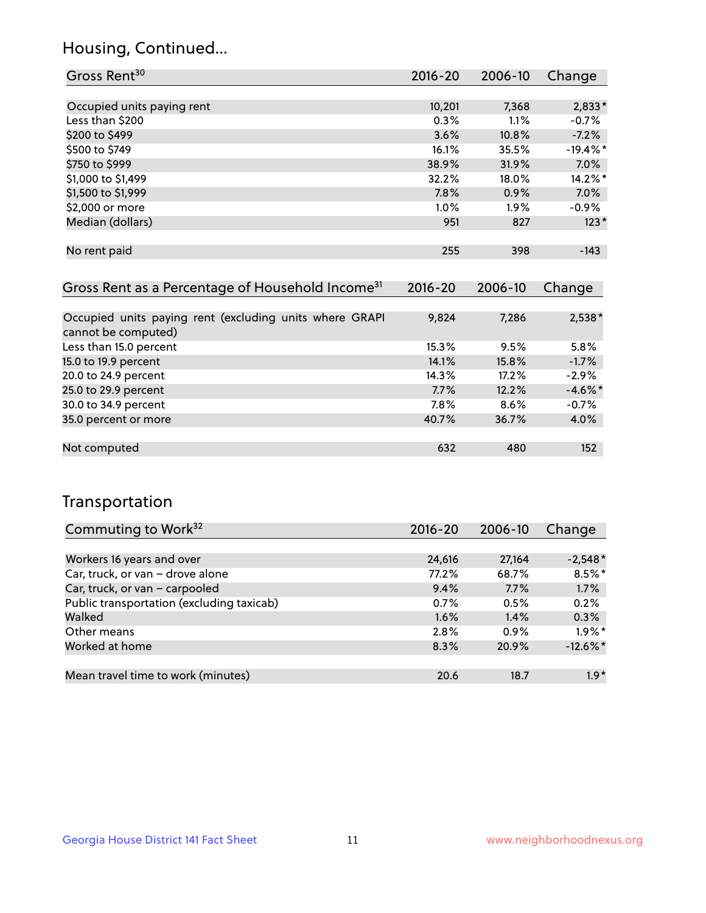## Housing, Continued...

| Gross Rent <sup>30</sup>                                                       | 2016-20 | $2006 - 10$ | Change     |
|--------------------------------------------------------------------------------|---------|-------------|------------|
|                                                                                |         |             |            |
| Occupied units paying rent                                                     | 10,201  | 7,368       | $2,833*$   |
| Less than \$200                                                                | 0.3%    | 1.1%        | $-0.7\%$   |
| \$200 to \$499                                                                 | 3.6%    | 10.8%       | $-7.2\%$   |
| \$500 to \$749                                                                 | 16.1%   | 35.5%       | $-19.4%$ * |
| \$750 to \$999                                                                 | 38.9%   | 31.9%       | $7.0\%$    |
| \$1,000 to \$1,499                                                             | 32.2%   | 18.0%       | $14.2\%$ * |
| \$1,500 to \$1,999                                                             | 7.8%    | 0.9%        | 7.0%       |
| \$2,000 or more                                                                | 1.0%    | $1.9\%$     | $-0.9\%$   |
| Median (dollars)                                                               | 951     | 827         | $123*$     |
| No rent paid                                                                   | 255     | 398         | $-143$     |
| Gross Rent as a Percentage of Household Income <sup>31</sup>                   | 2016-20 | 2006-10     | Change     |
| Occupied units paying rent (excluding units where GRAPI<br>cannot be computed) | 9,824   | 7,286       | 2,538*     |
| Less than 15.0 percent                                                         | 15.3%   | 9.5%        | 5.8%       |
| 15.0 to 19.9 percent                                                           | 14.1%   | 15.8%       | $-1.7%$    |
| 20.0 to 24.9 percent                                                           | 14.3%   | 17.2%       | $-2.9\%$   |
| 25.0 to 29.9 percent                                                           | 7.7%    | 12.2%       | $-4.6\%$ * |
| 30.0 to 34.9 percent                                                           | 7.8%    | 8.6%        | $-0.7\%$   |

| 25.0 to 29.9 percent | 7.7%  | 12.2% | $-4.6\%$ * |
|----------------------|-------|-------|------------|
| 30.0 to 34.9 percent | 7.8%  | 8.6%  | $-0.7%$    |
| 35.0 percent or more | 40.7% | 36.7% | $4.0\%$    |
|                      |       |       |            |
| Not computed         | 632   | 480   | 152        |
|                      |       |       |            |

## Transportation

| Commuting to Work <sup>32</sup>           | 2016-20 | 2006-10 | Change      |
|-------------------------------------------|---------|---------|-------------|
|                                           |         |         |             |
| Workers 16 years and over                 | 24,616  | 27,164  | $-2,548*$   |
| Car, truck, or van - drove alone          | 77.2%   | 68.7%   | $8.5\%$ *   |
| Car, truck, or van - carpooled            | 9.4%    | 7.7%    | 1.7%        |
| Public transportation (excluding taxicab) | 0.7%    | 0.5%    | 0.2%        |
| Walked                                    | 1.6%    | 1.4%    | 0.3%        |
| Other means                               | 2.8%    | 0.9%    | $1.9\%$ *   |
| Worked at home                            | 8.3%    | 20.9%   | $-12.6\%$ * |
|                                           |         |         |             |
| Mean travel time to work (minutes)        | 20.6    | 18.7    | $1.9*$      |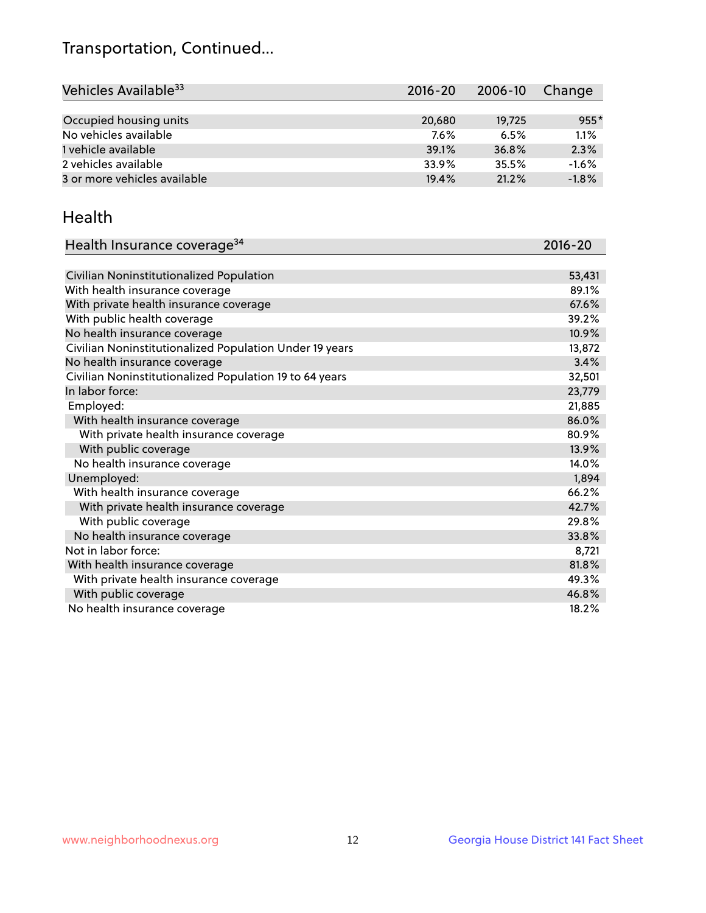## Transportation, Continued...

| Vehicles Available <sup>33</sup> | $2016 - 20$ | 2006-10 | Change  |
|----------------------------------|-------------|---------|---------|
|                                  |             |         |         |
| Occupied housing units           | 20,680      | 19,725  | $955*$  |
| No vehicles available            | 7.6%        | 6.5%    | 1.1%    |
| 1 vehicle available              | 39.1%       | 36.8%   | 2.3%    |
| 2 vehicles available             | 33.9%       | 35.5%   | $-1.6%$ |
| 3 or more vehicles available     | 19.4%       | 21.2%   | $-1.8%$ |

#### Health

| Health Insurance coverage <sup>34</sup>                 | 2016-20 |
|---------------------------------------------------------|---------|
|                                                         |         |
| Civilian Noninstitutionalized Population                | 53,431  |
| With health insurance coverage                          | 89.1%   |
| With private health insurance coverage                  | 67.6%   |
| With public health coverage                             | 39.2%   |
| No health insurance coverage                            | 10.9%   |
| Civilian Noninstitutionalized Population Under 19 years | 13,872  |
| No health insurance coverage                            | 3.4%    |
| Civilian Noninstitutionalized Population 19 to 64 years | 32,501  |
| In labor force:                                         | 23,779  |
| Employed:                                               | 21,885  |
| With health insurance coverage                          | 86.0%   |
| With private health insurance coverage                  | 80.9%   |
| With public coverage                                    | 13.9%   |
| No health insurance coverage                            | 14.0%   |
| Unemployed:                                             | 1,894   |
| With health insurance coverage                          | 66.2%   |
| With private health insurance coverage                  | 42.7%   |
| With public coverage                                    | 29.8%   |
| No health insurance coverage                            | 33.8%   |
| Not in labor force:                                     | 8,721   |
| With health insurance coverage                          | 81.8%   |
| With private health insurance coverage                  | 49.3%   |
| With public coverage                                    | 46.8%   |
| No health insurance coverage                            | 18.2%   |